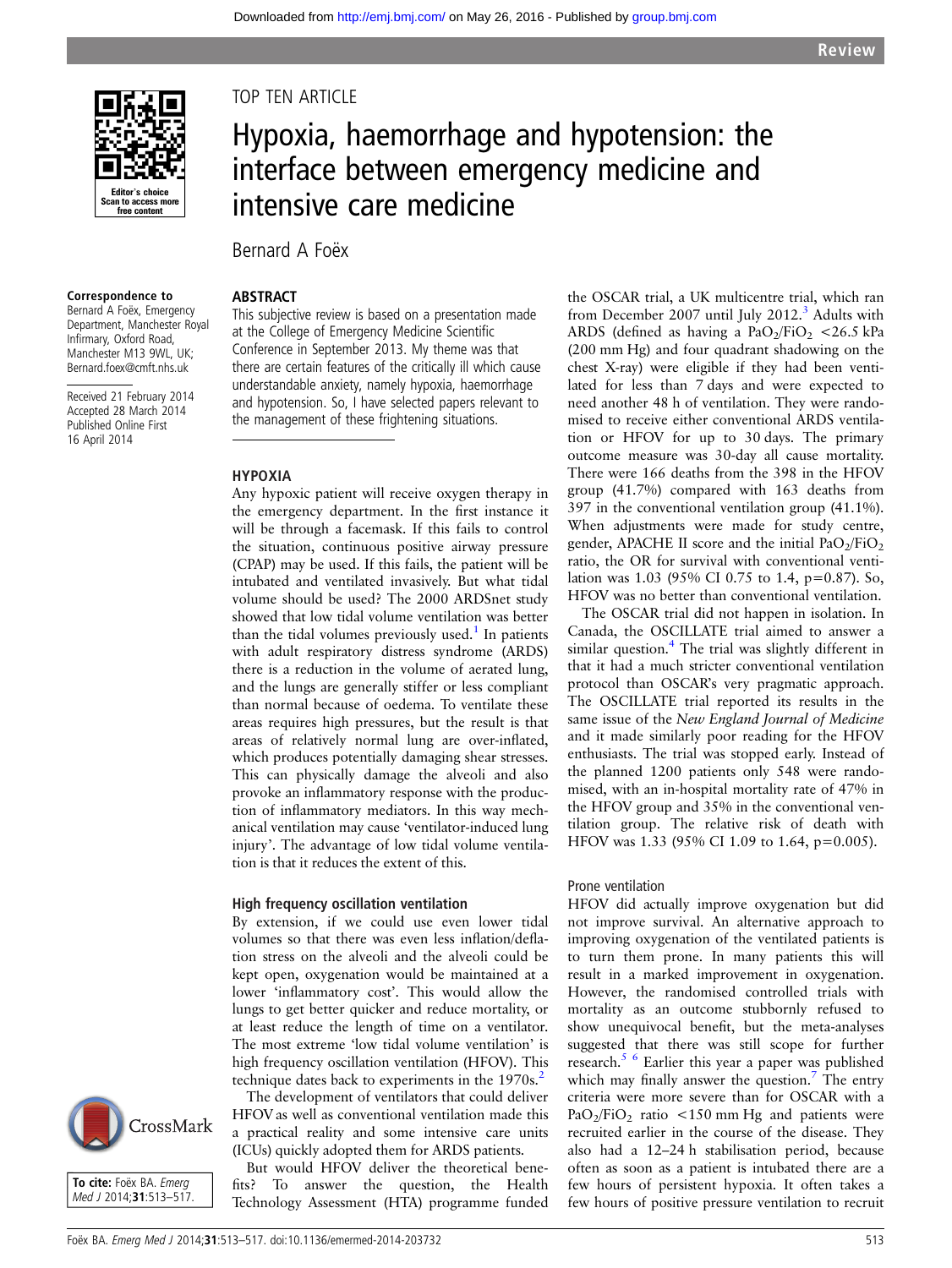

# TOP TEN ARTICLE

# Hypoxia, haemorrhage and hypotension: the interface between emergency medicine and intensive care medicine

Bernard A Foëx

#### Correspondence to

Bernard A Foëx, Emergency Department, Manchester Royal Infirmary, Oxford Road, Manchester M13 9WL, UK; Bernard.foex@cmft.nhs.uk

Received 21 February 2014 Accepted 28 March 2014 Published Online First 16 April 2014

# ABSTRACT

This subjective review is based on a presentation made at the College of Emergency Medicine Scientific Conference in September 2013. My theme was that there are certain features of the critically ill which cause understandable anxiety, namely hypoxia, haemorrhage and hypotension. So, I have selected papers relevant to the management of these frightening situations.

# HYPOXIA

Any hypoxic patient will receive oxygen therapy in the emergency department. In the first instance it will be through a facemask. If this fails to control the situation, continuous positive airway pressure (CPAP) may be used. If this fails, the patient will be intubated and ventilated invasively. But what tidal volume should be used? The 2000 ARDSnet study showed that low tidal volume ventilation was better than the tidal volumes previously used.<sup>[1](#page-3-0)</sup> In patients with adult respiratory distress syndrome (ARDS) there is a reduction in the volume of aerated lung, and the lungs are generally stiffer or less compliant than normal because of oedema. To ventilate these areas requires high pressures, but the result is that areas of relatively normal lung are over-inflated, which produces potentially damaging shear stresses. This can physically damage the alveoli and also provoke an inflammatory response with the production of inflammatory mediators. In this way mechanical ventilation may cause 'ventilator-induced lung injury'. The advantage of low tidal volume ventilation is that it reduces the extent of this.

# High frequency oscillation ventilation

By extension, if we could use even lower tidal volumes so that there was even less inflation/deflation stress on the alveoli and the alveoli could be kept open, oxygenation would be maintained at a lower 'inflammatory cost'. This would allow the lungs to get better quicker and reduce mortality, or at least reduce the length of time on a ventilator. The most extreme 'low tidal volume ventilation' is high frequency oscillation ventilation (HFOV). This technique dates back to experiments in the 1970s.<sup>2</sup>

The development of ventilators that could deliver HFOV as well as conventional ventilation made this a practical reality and some intensive care units (ICUs) quickly adopted them for ARDS patients.

But would HFOV deliver the theoretical benefits? To answer the question, the Health Technology Assessment (HTA) programme funded the OSCAR trial, a UK multicentre trial, which ran from December 2007 until July 2012.<sup>[3](#page-3-0)</sup> Adults with ARDS (defined as having a  $PaO<sub>2</sub>/FiO<sub>2</sub> < 26.5$  kPa (200 mm Hg) and four quadrant shadowing on the chest X-ray) were eligible if they had been ventilated for less than 7 days and were expected to need another 48 h of ventilation. They were randomised to receive either conventional ARDS ventilation or HFOV for up to 30 days. The primary outcome measure was 30-day all cause mortality. There were 166 deaths from the 398 in the HFOV group (41.7%) compared with 163 deaths from 397 in the conventional ventilation group (41.1%). When adjustments were made for study centre, gender, APACHE II score and the initial  $PaO<sub>2</sub>/FiO<sub>2</sub>$ ratio, the OR for survival with conventional ventilation was 1.03 (95% CI 0.75 to 1.4, p=0.87). So, HFOV was no better than conventional ventilation.

The OSCAR trial did not happen in isolation. In Canada, the OSCILLATE trial aimed to answer a similar question. $4$  The trial was slightly different in that it had a much stricter conventional ventilation protocol than OSCAR's very pragmatic approach. The OSCILLATE trial reported its results in the same issue of the New England Journal of Medicine and it made similarly poor reading for the HFOV enthusiasts. The trial was stopped early. Instead of the planned 1200 patients only 548 were randomised, with an in-hospital mortality rate of 47% in the HFOV group and 35% in the conventional ventilation group. The relative risk of death with HFOV was 1.33 (95% CI 1.09 to 1.64, p=0.005).

# Prone ventilation

HFOV did actually improve oxygenation but did not improve survival. An alternative approach to improving oxygenation of the ventilated patients is to turn them prone. In many patients this will result in a marked improvement in oxygenation. However, the randomised controlled trials with mortality as an outcome stubbornly refused to show unequivocal benefit, but the meta-analyses suggested that there was still scope for further research. $5/6$  Earlier this year a paper was published which may finally answer the question.<sup>[7](#page-3-0)</sup> The entry criteria were more severe than for OSCAR with a  $PaO<sub>2</sub>/FiO<sub>2</sub>$  ratio <150 mm Hg and patients were recruited earlier in the course of the disease. They also had a 12–24 h stabilisation period, because often as soon as a patient is intubated there are a few hours of persistent hypoxia. It often takes a few hours of positive pressure ventilation to recruit



To cite: Foëx BA. Emerg Med J 2014;31:513-517.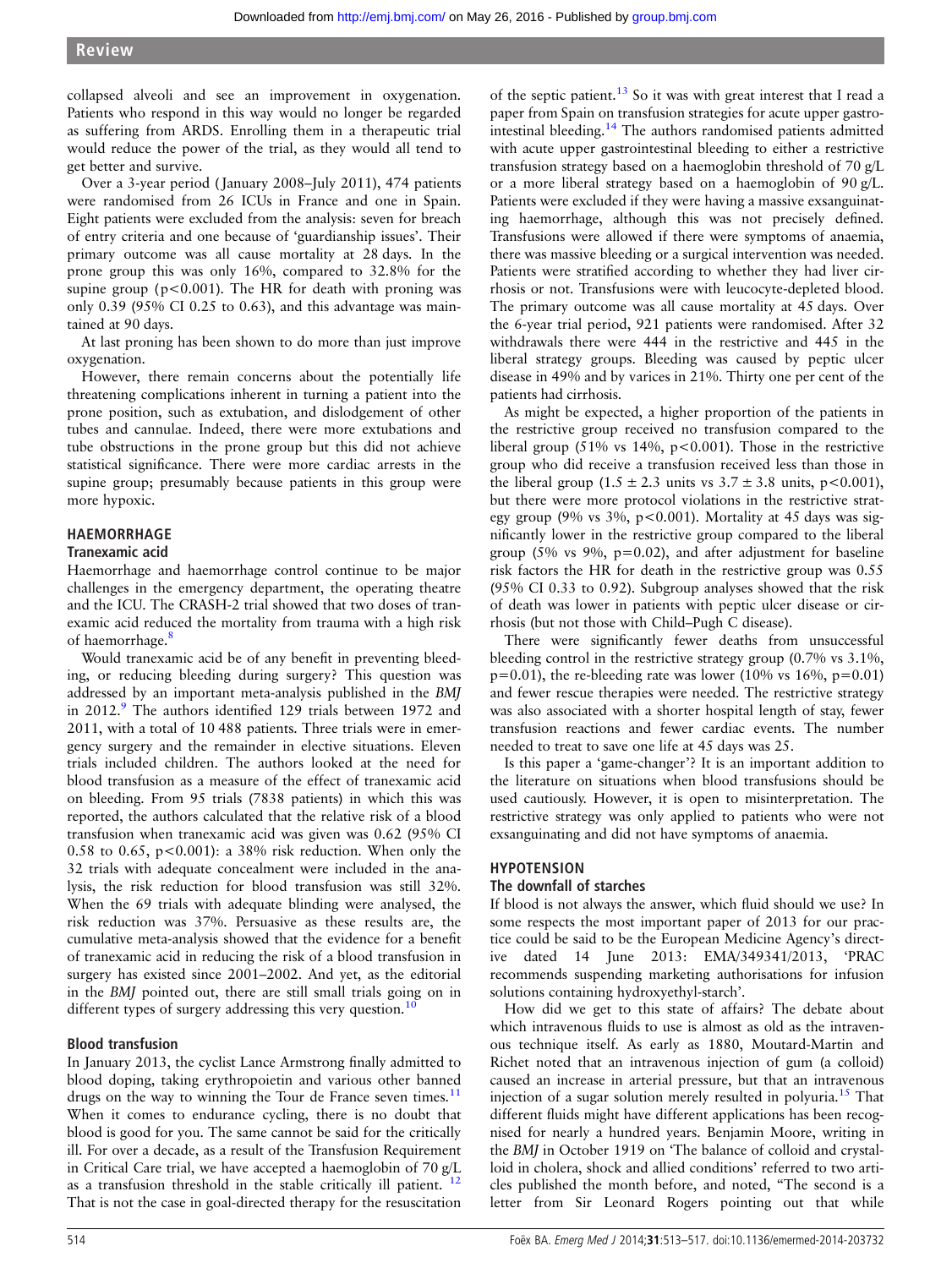collapsed alveoli and see an improvement in oxygenation. Patients who respond in this way would no longer be regarded as suffering from ARDS. Enrolling them in a therapeutic trial would reduce the power of the trial, as they would all tend to get better and survive.

Over a 3-year period ( January 2008–July 2011), 474 patients were randomised from 26 ICUs in France and one in Spain. Eight patients were excluded from the analysis: seven for breach of entry criteria and one because of 'guardianship issues'. Their primary outcome was all cause mortality at 28 days. In the prone group this was only 16%, compared to 32.8% for the supine group ( $p < 0.001$ ). The HR for death with proning was only 0.39 (95% CI 0.25 to 0.63), and this advantage was maintained at 90 days.

At last proning has been shown to do more than just improve oxygenation.

However, there remain concerns about the potentially life threatening complications inherent in turning a patient into the prone position, such as extubation, and dislodgement of other tubes and cannulae. Indeed, there were more extubations and tube obstructions in the prone group but this did not achieve statistical significance. There were more cardiac arrests in the supine group; presumably because patients in this group were more hypoxic.

# HAEMORRHAGE

# Tranexamic acid

Haemorrhage and haemorrhage control continue to be major challenges in the emergency department, the operating theatre and the ICU. The CRASH-2 trial showed that two doses of tranexamic acid reduced the mortality from trauma with a high risk of haemorrhage.<sup>[8](#page-3-0)</sup>

Would tranexamic acid be of any benefit in preventing bleeding, or reducing bleeding during surgery? This question was addressed by an important meta-analysis published in the BMJ in 2012.<sup>[9](#page-3-0)</sup> The authors identified 129 trials between 1972 and 2011, with a total of 10 488 patients. Three trials were in emergency surgery and the remainder in elective situations. Eleven trials included children. The authors looked at the need for blood transfusion as a measure of the effect of tranexamic acid on bleeding. From 95 trials (7838 patients) in which this was reported, the authors calculated that the relative risk of a blood transfusion when tranexamic acid was given was 0.62 (95% CI 0.58 to 0.65,  $p<0.001$ ): a 38% risk reduction. When only the 32 trials with adequate concealment were included in the analysis, the risk reduction for blood transfusion was still 32%. When the 69 trials with adequate blinding were analysed, the risk reduction was 37%. Persuasive as these results are, the cumulative meta-analysis showed that the evidence for a benefit of tranexamic acid in reducing the risk of a blood transfusion in surgery has existed since 2001–2002. And yet, as the editorial in the BMJ pointed out, there are still small trials going on in different types of surgery addressing this very question.<sup>10</sup>

# Blood transfusion

In January 2013, the cyclist Lance Armstrong finally admitted to blood doping, taking erythropoietin and various other banned drugs on the way to winning the Tour de France seven times.<sup>[11](#page-3-0)</sup> When it comes to endurance cycling, there is no doubt that blood is good for you. The same cannot be said for the critically ill. For over a decade, as a result of the Transfusion Requirement in Critical Care trial, we have accepted a haemoglobin of 70 g/L as a transfusion threshold in the stable critically ill patient.  $12$ That is not the case in goal-directed therapy for the resuscitation

of the septic patient.[13](#page-3-0) So it was with great interest that I read a paper from Spain on transfusion strategies for acute upper gastro-intestinal bleeding.<sup>[14](#page-3-0)</sup> The authors randomised patients admitted with acute upper gastrointestinal bleeding to either a restrictive transfusion strategy based on a haemoglobin threshold of 70 g/L or a more liberal strategy based on a haemoglobin of 90 g/L. Patients were excluded if they were having a massive exsanguinating haemorrhage, although this was not precisely defined. Transfusions were allowed if there were symptoms of anaemia, there was massive bleeding or a surgical intervention was needed. Patients were stratified according to whether they had liver cirrhosis or not. Transfusions were with leucocyte-depleted blood. The primary outcome was all cause mortality at 45 days. Over the 6-year trial period, 921 patients were randomised. After 32 withdrawals there were 444 in the restrictive and 445 in the liberal strategy groups. Bleeding was caused by peptic ulcer disease in 49% and by varices in 21%. Thirty one per cent of the patients had cirrhosis.

As might be expected, a higher proportion of the patients in the restrictive group received no transfusion compared to the liberal group  $(51\% \text{ vs } 14\%, \text{ p} < 0.001)$ . Those in the restrictive group who did receive a transfusion received less than those in the liberal group  $(1.5 \pm 2.3 \text{ units vs } 3.7 \pm 3.8 \text{ units}, \text{p} < 0.001)$ , but there were more protocol violations in the restrictive strategy group (9% vs 3%, p<0.001). Mortality at 45 days was significantly lower in the restrictive group compared to the liberal group  $(5\% \text{ vs } 9\%, \text{ p}=0.02)$ , and after adjustment for baseline risk factors the HR for death in the restrictive group was 0.55 (95% CI 0.33 to 0.92). Subgroup analyses showed that the risk of death was lower in patients with peptic ulcer disease or cirrhosis (but not those with Child–Pugh C disease).

There were significantly fewer deaths from unsuccessful bleeding control in the restrictive strategy group (0.7% vs 3.1%,  $p=0.01$ ), the re-bleeding rate was lower (10% vs 16%,  $p=0.01$ ) and fewer rescue therapies were needed. The restrictive strategy was also associated with a shorter hospital length of stay, fewer transfusion reactions and fewer cardiac events. The number needed to treat to save one life at 45 days was 25.

Is this paper a 'game-changer'? It is an important addition to the literature on situations when blood transfusions should be used cautiously. However, it is open to misinterpretation. The restrictive strategy was only applied to patients who were not exsanguinating and did not have symptoms of anaemia.

# HYPOTENSION

# The downfall of starches

If blood is not always the answer, which fluid should we use? In some respects the most important paper of 2013 for our practice could be said to be the European Medicine Agency's directive dated 14 June 2013: EMA/349341/2013, 'PRAC recommends suspending marketing authorisations for infusion solutions containing hydroxyethyl-starch'.

How did we get to this state of affairs? The debate about which intravenous fluids to use is almost as old as the intravenous technique itself. As early as 1880, Moutard-Martin and Richet noted that an intravenous injection of gum (a colloid) caused an increase in arterial pressure, but that an intravenous injection of a sugar solution merely resulted in polyuria.[15](#page-3-0) That different fluids might have different applications has been recognised for nearly a hundred years. Benjamin Moore, writing in the BMJ in October 1919 on 'The balance of colloid and crystalloid in cholera, shock and allied conditions' referred to two articles published the month before, and noted, "The second is a letter from Sir Leonard Rogers pointing out that while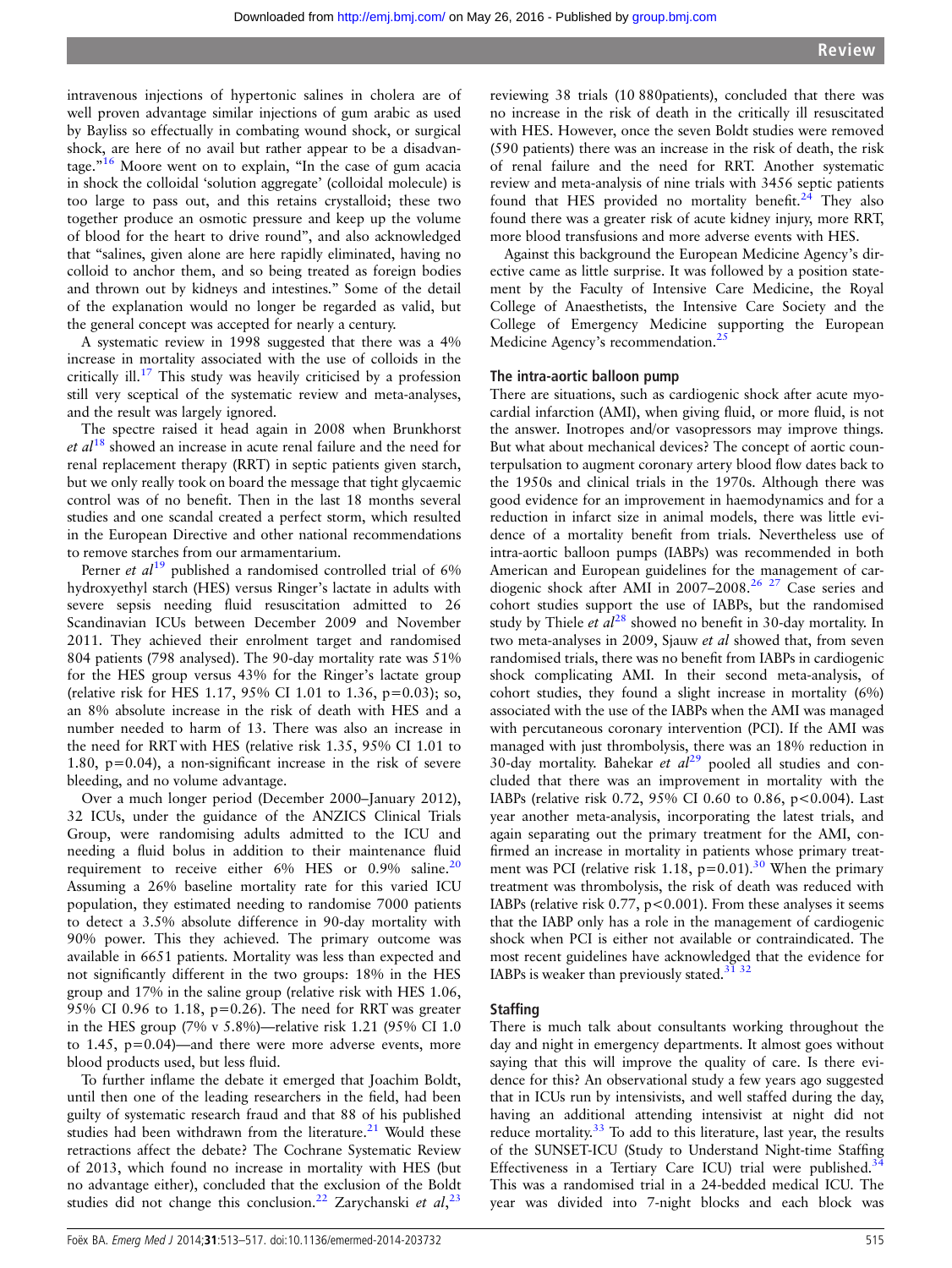intravenous injections of hypertonic salines in cholera are of well proven advantage similar injections of gum arabic as used by Bayliss so effectually in combating wound shock, or surgical shock, are here of no avail but rather appear to be a disadvantage."[16](#page-3-0) Moore went on to explain, "In the case of gum acacia in shock the colloidal 'solution aggregate' (colloidal molecule) is too large to pass out, and this retains crystalloid; these two together produce an osmotic pressure and keep up the volume of blood for the heart to drive round", and also acknowledged that "salines, given alone are here rapidly eliminated, having no colloid to anchor them, and so being treated as foreign bodies and thrown out by kidneys and intestines." Some of the detail of the explanation would no longer be regarded as valid, but the general concept was accepted for nearly a century.

A systematic review in 1998 suggested that there was a 4% increase in mortality associated with the use of colloids in the critically ill.[17](#page-3-0) This study was heavily criticised by a profession still very sceptical of the systematic review and meta-analyses, and the result was largely ignored.

The spectre raised it head again in 2008 when Brunkhorst et  $al^{18}$  $al^{18}$  $al^{18}$  showed an increase in acute renal failure and the need for renal replacement therapy (RRT) in septic patients given starch, but we only really took on board the message that tight glycaemic control was of no benefit. Then in the last 18 months several studies and one scandal created a perfect storm, which resulted in the European Directive and other national recommendations to remove starches from our armamentarium.

Perner *et al*<sup>[19](#page-3-0)</sup> published a randomised controlled trial of 6% hydroxyethyl starch (HES) versus Ringer's lactate in adults with severe sepsis needing fluid resuscitation admitted to 26 Scandinavian ICUs between December 2009 and November 2011. They achieved their enrolment target and randomised 804 patients (798 analysed). The 90-day mortality rate was 51% for the HES group versus 43% for the Ringer's lactate group (relative risk for HES 1.17, 95% CI 1.01 to 1.36, p=0.03); so, an 8% absolute increase in the risk of death with HES and a number needed to harm of 13. There was also an increase in the need for RRT with HES (relative risk 1.35, 95% CI 1.01 to 1.80, p=0.04), a non-significant increase in the risk of severe bleeding, and no volume advantage.

Over a much longer period (December 2000–January 2012), 32 ICUs, under the guidance of the ANZICS Clinical Trials Group, were randomising adults admitted to the ICU and needing a fluid bolus in addition to their maintenance fluid requirement to receive either  $6\%$  HES or 0.9% saline.<sup>20</sup> Assuming a 26% baseline mortality rate for this varied ICU population, they estimated needing to randomise 7000 patients to detect a 3.5% absolute difference in 90-day mortality with 90% power. This they achieved. The primary outcome was available in 6651 patients. Mortality was less than expected and not significantly different in the two groups: 18% in the HES group and 17% in the saline group (relative risk with HES 1.06, 95% CI 0.96 to 1.18,  $p=0.26$ ). The need for RRT was greater in the HES group (7% v 5.8%)—relative risk 1.21 (95% CI 1.0 to 1.45, p=0.04)—and there were more adverse events, more blood products used, but less fluid.

To further inflame the debate it emerged that Joachim Boldt, until then one of the leading researchers in the field, had been guilty of systematic research fraud and that 88 of his published studies had been withdrawn from the literature. $21$  Would these retractions affect the debate? The Cochrane Systematic Review of 2013, which found no increase in mortality with HES (but no advantage either), concluded that the exclusion of the Boldt studies did not change this conclusion.<sup>[22](#page-3-0)</sup> Zarychanski et al,<sup>[23](#page-3-0)</sup>

reviewing 38 trials (10 880patients), concluded that there was no increase in the risk of death in the critically ill resuscitated with HES. However, once the seven Boldt studies were removed (590 patients) there was an increase in the risk of death, the risk of renal failure and the need for RRT. Another systematic review and meta-analysis of nine trials with 3456 septic patients found that HES provided no mortality benefit.<sup>[24](#page-3-0)</sup> They also found there was a greater risk of acute kidney injury, more RRT, more blood transfusions and more adverse events with HES.

Against this background the European Medicine Agency's directive came as little surprise. It was followed by a position statement by the Faculty of Intensive Care Medicine, the Royal College of Anaesthetists, the Intensive Care Society and the College of Emergency Medicine supporting the European Medicine Agency's recommendation.<sup>[25](#page-3-0)</sup>

# The intra-aortic balloon pump

There are situations, such as cardiogenic shock after acute myocardial infarction (AMI), when giving fluid, or more fluid, is not the answer. Inotropes and/or vasopressors may improve things. But what about mechanical devices? The concept of aortic counterpulsation to augment coronary artery blood flow dates back to the 1950s and clinical trials in the 1970s. Although there was good evidence for an improvement in haemodynamics and for a reduction in infarct size in animal models, there was little evidence of a mortality benefit from trials. Nevertheless use of intra-aortic balloon pumps (IABPs) was recommended in both American and European guidelines for the management of car-diogenic shock after AMI in 2007–2008.<sup>[26](#page-3-0) [27](#page-4-0)</sup> Case series and cohort studies support the use of IABPs, but the randomised study by Thiele et  $aI^{28}$  $aI^{28}$  $aI^{28}$  showed no benefit in 30-day mortality. In two meta-analyses in 2009, Sjauw et al showed that, from seven randomised trials, there was no benefit from IABPs in cardiogenic shock complicating AMI. In their second meta-analysis, of cohort studies, they found a slight increase in mortality (6%) associated with the use of the IABPs when the AMI was managed with percutaneous coronary intervention (PCI). If the AMI was managed with just thrombolysis, there was an 18% reduction in 30-day mortality. Bahekar et  $al^{29}$  $al^{29}$  $al^{29}$  pooled all studies and concluded that there was an improvement in mortality with the IABPs (relative risk 0.72, 95% CI 0.60 to 0.86, p<0.004). Last year another meta-analysis, incorporating the latest trials, and again separating out the primary treatment for the AMI, confirmed an increase in mortality in patients whose primary treatment was PCI (relative risk 1.18,  $p=0.01$ ).<sup>[30](#page-4-0)</sup> When the primary treatment was thrombolysis, the risk of death was reduced with IABPs (relative risk  $0.77$ ,  $p < 0.001$ ). From these analyses it seems that the IABP only has a role in the management of cardiogenic shock when PCI is either not available or contraindicated. The most recent guidelines have acknowledged that the evidence for IABPs is weaker than previously stated. $31<sup>3</sup>$ 

# **Staffing**

There is much talk about consultants working throughout the day and night in emergency departments. It almost goes without saying that this will improve the quality of care. Is there evidence for this? An observational study a few years ago suggested that in ICUs run by intensivists, and well staffed during the day, having an additional attending intensivist at night did not reduce mortality.<sup>[33](#page-4-0)</sup> To add to this literature, last year, the results of the SUNSET-ICU (Study to Understand Night-time Staffing Effectiveness in a Tertiary Care ICU) trial were published.<sup>3</sup> This was a randomised trial in a 24-bedded medical ICU. The year was divided into 7-night blocks and each block was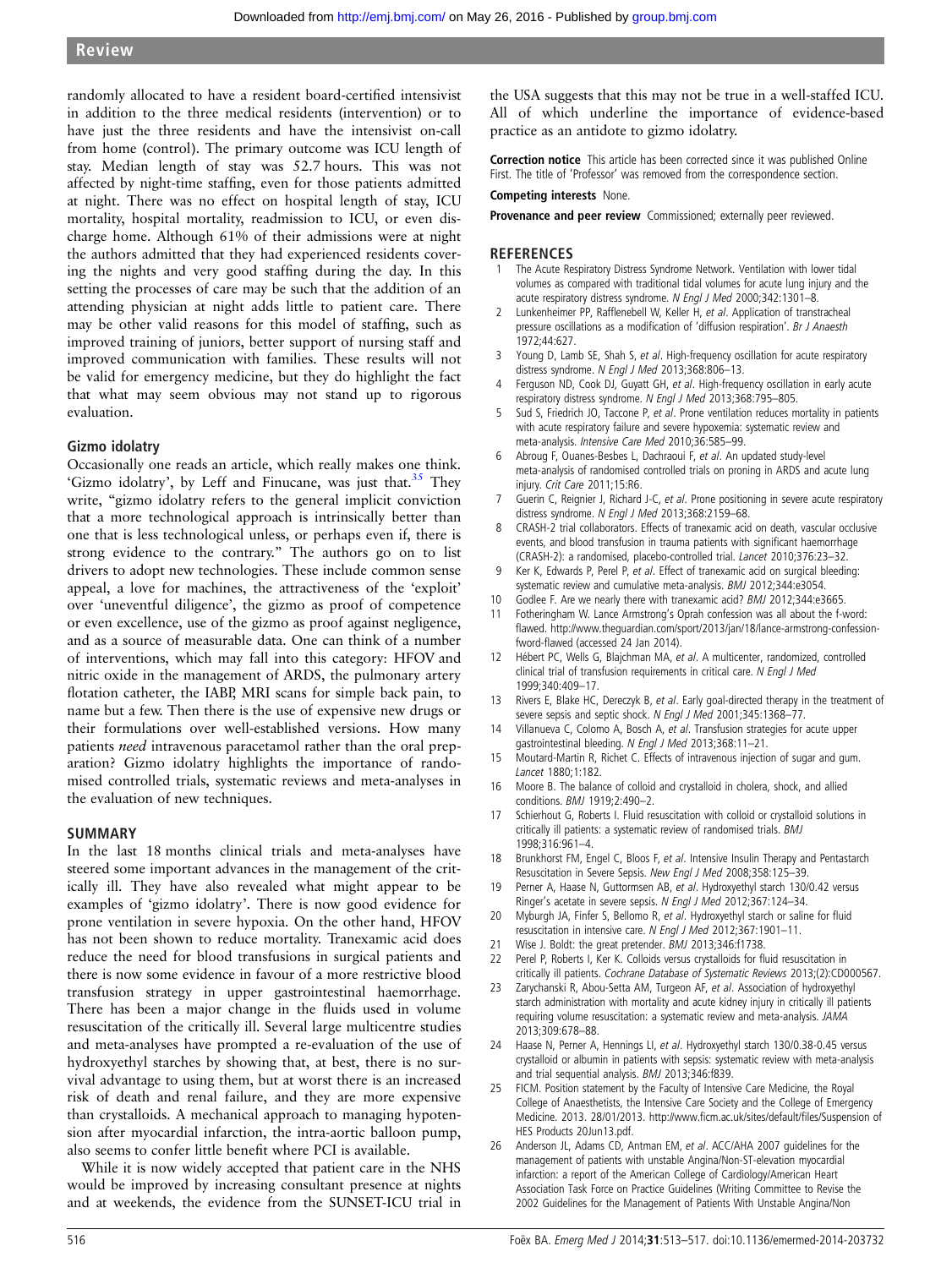<span id="page-3-0"></span>randomly allocated to have a resident board-certified intensivist in addition to the three medical residents (intervention) or to have just the three residents and have the intensivist on-call from home (control). The primary outcome was ICU length of stay. Median length of stay was 52.7 hours. This was not affected by night-time staffing, even for those patients admitted at night. There was no effect on hospital length of stay, ICU mortality, hospital mortality, readmission to ICU, or even discharge home. Although 61% of their admissions were at night the authors admitted that they had experienced residents covering the nights and very good staffing during the day. In this setting the processes of care may be such that the addition of an attending physician at night adds little to patient care. There may be other valid reasons for this model of staffing, such as improved training of juniors, better support of nursing staff and improved communication with families. These results will not be valid for emergency medicine, but they do highlight the fact that what may seem obvious may not stand up to rigorous evaluation.

# Gizmo idolatry

Occasionally one reads an article, which really makes one think. 'Gizmo idolatry', by Leff and Finucane, was just that.<sup>[35](#page-4-0)</sup> They write, "gizmo idolatry refers to the general implicit conviction that a more technological approach is intrinsically better than one that is less technological unless, or perhaps even if, there is strong evidence to the contrary." The authors go on to list drivers to adopt new technologies. These include common sense appeal, a love for machines, the attractiveness of the 'exploit' over 'uneventful diligence', the gizmo as proof of competence or even excellence, use of the gizmo as proof against negligence, and as a source of measurable data. One can think of a number of interventions, which may fall into this category: HFOV and nitric oxide in the management of ARDS, the pulmonary artery flotation catheter, the IABP, MRI scans for simple back pain, to name but a few. Then there is the use of expensive new drugs or their formulations over well-established versions. How many patients need intravenous paracetamol rather than the oral preparation? Gizmo idolatry highlights the importance of randomised controlled trials, systematic reviews and meta-analyses in the evaluation of new techniques.

# SUMMARY

In the last 18 months clinical trials and meta-analyses have steered some important advances in the management of the critically ill. They have also revealed what might appear to be examples of 'gizmo idolatry'. There is now good evidence for prone ventilation in severe hypoxia. On the other hand, HFOV has not been shown to reduce mortality. Tranexamic acid does reduce the need for blood transfusions in surgical patients and there is now some evidence in favour of a more restrictive blood transfusion strategy in upper gastrointestinal haemorrhage. There has been a major change in the fluids used in volume resuscitation of the critically ill. Several large multicentre studies and meta-analyses have prompted a re-evaluation of the use of hydroxyethyl starches by showing that, at best, there is no survival advantage to using them, but at worst there is an increased risk of death and renal failure, and they are more expensive than crystalloids. A mechanical approach to managing hypotension after myocardial infarction, the intra-aortic balloon pump, also seems to confer little benefit where PCI is available.

While it is now widely accepted that patient care in the NHS would be improved by increasing consultant presence at nights and at weekends, the evidence from the SUNSET-ICU trial in

the USA suggests that this may not be true in a well-staffed ICU. All of which underline the importance of evidence-based practice as an antidote to gizmo idolatry.

Correction notice This article has been corrected since it was published Online First. The title of 'Professor' was removed from the correspondence section.

#### Competing interests None.

Provenance and peer review Commissioned; externally peer reviewed.

#### **REFERENCES**

- The Acute Respiratory Distress Syndrome Network. Ventilation with lower tidal volumes as compared with traditional tidal volumes for acute lung injury and the acute respiratory distress syndrome. N Engl J Med 2000;342:1301-8.
- Lunkenheimer PP, Rafflenebell W, Keller H, et al. Application of transtracheal pressure oscillations as a modification of 'diffusion respiration'. Br J Anaesth 1972;44:627.
- 3 Young D, Lamb SE, Shah S, et al. High-frequency oscillation for acute respiratory distress syndrome. N Engl J Med 2013;368:806-13.
- 4 Ferguson ND, Cook DJ, Guyatt GH, et al. High-frequency oscillation in early acute respiratory distress syndrome. N Engl J Med 2013;368:795–805.
- 5 Sud S, Friedrich JO, Taccone P, et al. Prone ventilation reduces mortality in patients with acute respiratory failure and severe hypoxemia: systematic review and meta-analysis. Intensive Care Med 2010;36:585–99.
- 6 Abroug F, Ouanes-Besbes L, Dachraoui F, et al. An updated study-level meta-analysis of randomised controlled trials on proning in ARDS and acute lung injury. Crit Care 2011:15:R6
- Guerin C, Reignier J, Richard J-C, et al. Prone positioning in severe acute respiratory distress syndrome. N Engl J Med 2013;368:2159–68.
- 8 CRASH-2 trial collaborators. Effects of tranexamic acid on death, vascular occlusive events, and blood transfusion in trauma patients with significant haemorrhage (CRASH-2): a randomised, placebo-controlled trial. Lancet 2010;376:23–32.
- Ker K, Edwards P, Perel P, et al. Effect of tranexamic acid on surgical bleeding: systematic review and cumulative meta-analysis. BMJ 2012;344:e3054.
- 10 Godlee F. Are we nearly there with tranexamic acid? BMJ 2012;344:e3665. 11 Fotheringham W. Lance Armstrong's Oprah confession was all about the f-word:
- flawed. [http://www.theguardian.com/sport/2013/jan/18/lance-armstrong-confession](http://www.theguardian.com/sport/2013/jan/18/lance-armstrong-confession-fword-flawed)[fword-](http://www.theguardian.com/sport/2013/jan/18/lance-armstrong-confession-fword-flawed)flawed (accessed 24 Jan 2014).
- 12 Hébert PC, Wells G, Blajchman MA, et al. A multicenter, randomized, controlled clinical trial of transfusion requirements in critical care. N Engl J Med 1999;340:409–17.
- 13 Rivers E, Blake HC, Dereczyk B, et al. Early goal-directed therapy in the treatment of severe sepsis and septic shock. N Engl J Med 2001;345:1368-77.
- 14 Villanueva C, Colomo A, Bosch A, et al. Transfusion strategies for acute upper gastrointestinal bleeding. N Engl J Med 2013;368:11–21.
- 15 Moutard-Martin R, Richet C. Effects of intravenous injection of sugar and gum. Lancet 1880;1:182.
- 16 Moore B. The balance of colloid and crystalloid in cholera, shock, and allied conditions. BMJ 1919;2:490–2.
- 17 Schierhout G, Roberts I. Fluid resuscitation with colloid or crystalloid solutions in critically ill patients: a systematic review of randomised trials. BMJ 1998;316:961–4.
- 18 Brunkhorst FM, Engel C, Bloos F, et al. Intensive Insulin Therapy and Pentastarch Resuscitation in Severe Sepsis. New Engl J Med 2008;358:125–39.
- 19 Perner A, Haase N, Guttormsen AB, et al. Hydroxyethyl starch 130/0.42 versus Ringer's acetate in severe sepsis. N Engl J Med 2012;367:124–34.
- 20 Myburgh JA, Finfer S, Bellomo R, et al. Hydroxyethyl starch or saline for fluid resuscitation in intensive care. N Engl J Med 2012;367:1901–11.
- 21 Wise J. Boldt: the great pretender. BMJ 2013;346:f1738.
- 22 Perel P, Roberts I, Ker K. Colloids versus crystalloids for fluid resuscitation in critically ill patients. Cochrane Database of Systematic Reviews 2013;(2):CD000567.
- Zarychanski R, Abou-Setta AM, Turgeon AF, et al. Association of hydroxyethyl starch administration with mortality and acute kidney injury in critically ill patients requiring volume resuscitation: a systematic review and meta-analysis. JAMA 2013;309:678–88.
- 24 Haase N, Perner A, Hennings LI, et al. Hydroxyethyl starch 130/0.38-0.45 versus crystalloid or albumin in patients with sepsis: systematic review with meta-analysis and trial sequential analysis. BMJ 2013;346:f839.
- 25 FICM. Position statement by the Faculty of Intensive Care Medicine, the Royal College of Anaesthetists, the Intensive Care Society and the College of Emergency Medicine. 2013. 28/01/2013. [http:/](http://www.ficm.ac.uk/sites/default/files/Suspension)/www.fi[cm.ac.uk/sites/default/](http://www.ficm.ac.uk/sites/default/files/Suspension)files/Suspension of HES Products 20Jun13.pdf.
- 26 Anderson JL, Adams CD, Antman EM, et al. ACC/AHA 2007 quidelines for the management of patients with unstable Angina/Non-ST-elevation myocardial infarction: a report of the American College of Cardiology/American Heart Association Task Force on Practice Guidelines (Writing Committee to Revise the 2002 Guidelines for the Management of Patients With Unstable Angina/Non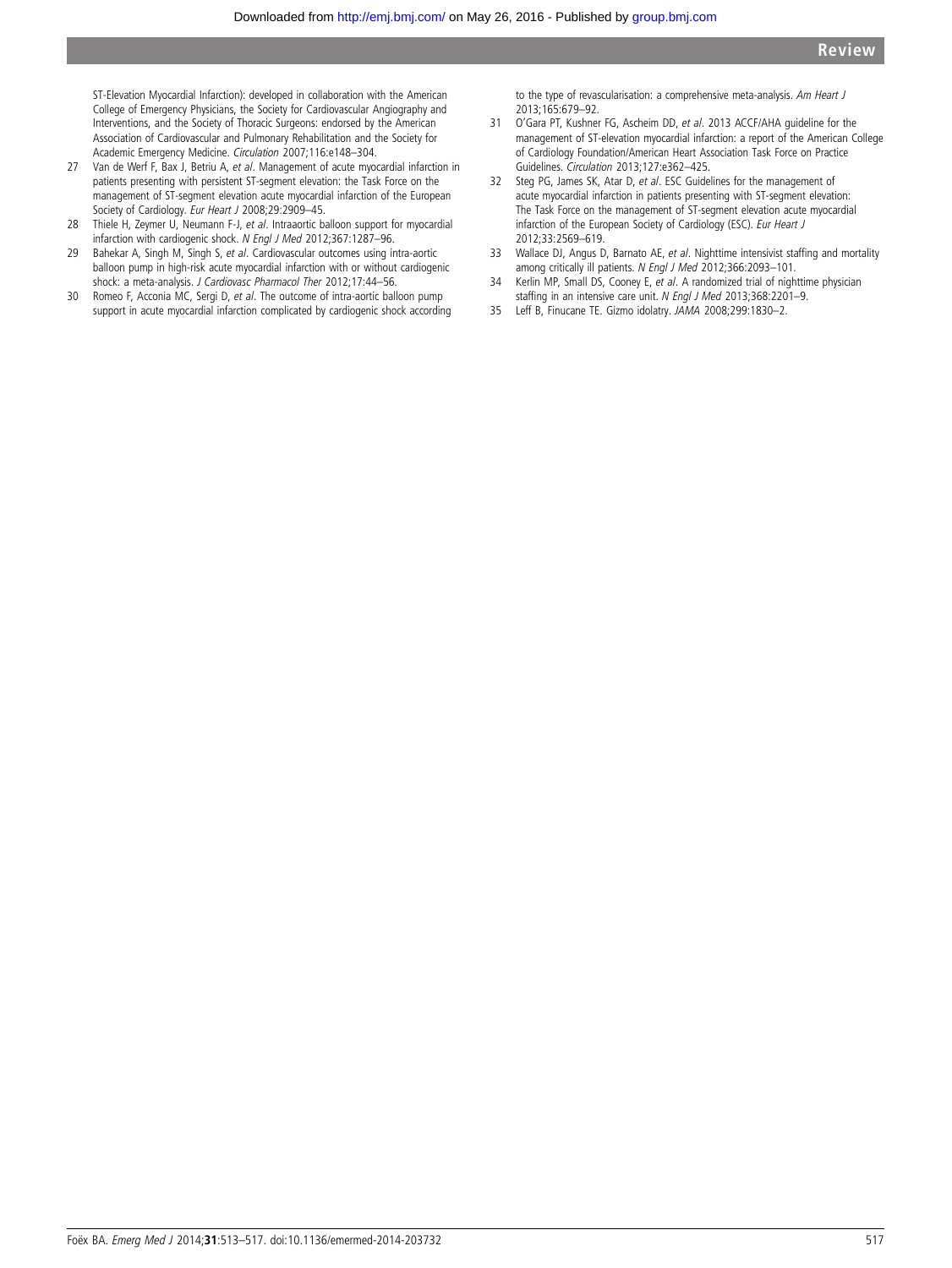<span id="page-4-0"></span>ST-Elevation Myocardial Infarction): developed in collaboration with the American College of Emergency Physicians, the Society for Cardiovascular Angiography and Interventions, and the Society of Thoracic Surgeons: endorsed by the American Association of Cardiovascular and Pulmonary Rehabilitation and the Society for Academic Emergency Medicine. Circulation 2007;116:e148–304.

- 27 Van de Werf F, Bax J, Betriu A, et al. Management of acute myocardial infarction in patients presenting with persistent ST-segment elevation: the Task Force on the management of ST-segment elevation acute myocardial infarction of the European Society of Cardiology. Eur Heart J 2008;29:2909-45.
- 28 Thiele H, Zeymer U, Neumann F-J, et al. Intraaortic balloon support for myocardial infarction with cardiogenic shock. N Engl J Med 2012;367:1287–96.
- 29 Bahekar A, Singh M, Singh S, et al. Cardiovascular outcomes using intra-aortic balloon pump in high-risk acute myocardial infarction with or without cardiogenic shock: a meta-analysis. J Cardiovasc Pharmacol Ther 2012;17:44–56.
- 30 Romeo F, Acconia MC, Sergi D, et al. The outcome of intra-aortic balloon pump support in acute myocardial infarction complicated by cardiogenic shock according

to the type of revascularisation: a comprehensive meta-analysis. Am Heart J 2013;165:679–92.

- 31 O'Gara PT, Kushner FG, Ascheim DD, et al. 2013 ACCF/AHA guideline for the management of ST-elevation myocardial infarction: a report of the American College of Cardiology Foundation/American Heart Association Task Force on Practice Guidelines. Circulation 2013;127:e362–425.
- 32 Steg PG, James SK, Atar D, et al. ESC Guidelines for the management of acute myocardial infarction in patients presenting with ST-segment elevation: The Task Force on the management of ST-segment elevation acute myocardial infarction of the European Society of Cardiology (ESC). Eur Heart J 2012;33:2569–619.
- 33 Wallace DJ, Angus D, Barnato AE, et al. Nighttime intensivist staffing and mortality among critically ill patients. N Engl J Med 2012;366:2093–101.
- 34 Kerlin MP, Small DS, Cooney E, et al. A randomized trial of nighttime physician staffing in an intensive care unit. N Engl J Med 2013;368:2201–9.
- 35 Leff B, Finucane TE. Gizmo idolatry. JAMA 2008;299:1830–2.